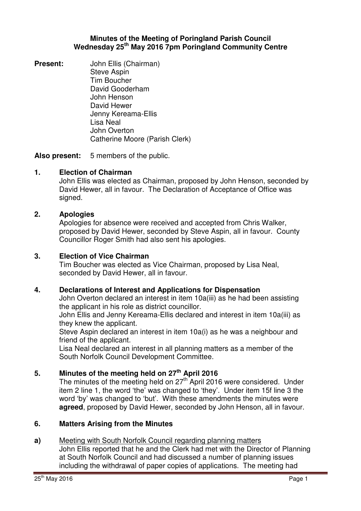#### **Minutes of the Meeting of Poringland Parish Council Wednesday 25th May 2016 7pm Poringland Community Centre**

**Present:** John Ellis (Chairman) Steve Aspin Tim Boucher David Gooderham John Henson David Hewer Jenny Kereama-Ellis Lisa Neal John Overton Catherine Moore (Parish Clerk)

**Also present:** 5 members of the public.

## **1. Election of Chairman**

John Ellis was elected as Chairman, proposed by John Henson, seconded by David Hewer, all in favour. The Declaration of Acceptance of Office was signed.

#### **2. Apologies**

Apologies for absence were received and accepted from Chris Walker, proposed by David Hewer, seconded by Steve Aspin, all in favour. County Councillor Roger Smith had also sent his apologies.

#### **3. Election of Vice Chairman**

Tim Boucher was elected as Vice Chairman, proposed by Lisa Neal, seconded by David Hewer, all in favour.

#### **4. Declarations of Interest and Applications for Dispensation**

John Overton declared an interest in item 10a(iii) as he had been assisting the applicant in his role as district councillor.

John Ellis and Jenny Kereama-Ellis declared and interest in item 10a(iii) as they knew the applicant.

Steve Aspin declared an interest in item 10a(i) as he was a neighbour and friend of the applicant.

Lisa Neal declared an interest in all planning matters as a member of the South Norfolk Council Development Committee.

## **5. Minutes of the meeting held on 27th April 2016**

The minutes of the meeting held on  $27<sup>th</sup>$  April 2016 were considered. Under item 2 line 1, the word 'the' was changed to 'they'. Under item 15f line 3 the word 'by' was changed to 'but'. With these amendments the minutes were **agreed**, proposed by David Hewer, seconded by John Henson, all in favour.

#### **6. Matters Arising from the Minutes**

#### **a)** Meeting with South Norfolk Council regarding planning matters

John Ellis reported that he and the Clerk had met with the Director of Planning at South Norfolk Council and had discussed a number of planning issues including the withdrawal of paper copies of applications. The meeting had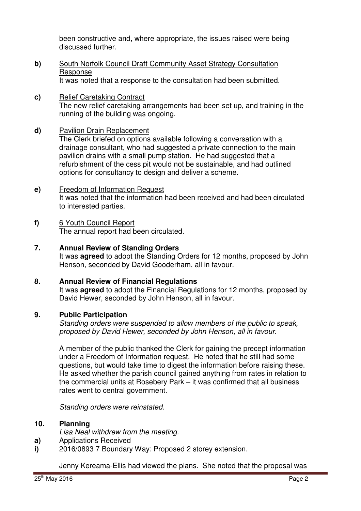been constructive and, where appropriate, the issues raised were being discussed further.

**b)** South Norfolk Council Draft Community Asset Strategy Consultation Response

It was noted that a response to the consultation had been submitted.

**c)** Relief Caretaking Contract The new relief caretaking arrangements had been set up, and training in the running of the building was ongoing.

#### **d)** Pavilion Drain Replacement

The Clerk briefed on options available following a conversation with a drainage consultant, who had suggested a private connection to the main pavilion drains with a small pump station. He had suggested that a refurbishment of the cess pit would not be sustainable, and had outlined options for consultancy to design and deliver a scheme.

**e)** Freedom of Information Request It was noted that the information had been received and had been circulated to interested parties.

# **f)** 6 Youth Council Report

The annual report had been circulated.

#### **7. Annual Review of Standing Orders**

It was **agreed** to adopt the Standing Orders for 12 months, proposed by John Henson, seconded by David Gooderham, all in favour.

## **8. Annual Review of Financial Regulations**

It was **agreed** to adopt the Financial Regulations for 12 months, proposed by David Hewer, seconded by John Henson, all in favour.

#### **9. Public Participation**

Standing orders were suspended to allow members of the public to speak, proposed by David Hewer, seconded by John Henson, all in favour.

A member of the public thanked the Clerk for gaining the precept information under a Freedom of Information request. He noted that he still had some questions, but would take time to digest the information before raising these. He asked whether the parish council gained anything from rates in relation to the commercial units at Rosebery Park – it was confirmed that all business rates went to central government.

Standing orders were reinstated.

#### **10. Planning**

- Lisa Neal withdrew from the meeting.
- **a)**  Applications Received
- **i)**  2016/0893 7 Boundary Way: Proposed 2 storey extension.

Jenny Kereama-Ellis had viewed the plans. She noted that the proposal was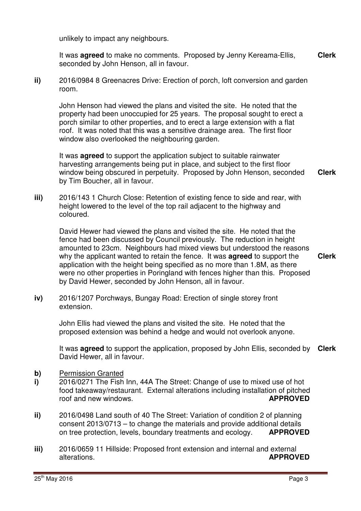unlikely to impact any neighbours.

It was **agreed** to make no comments. Proposed by Jenny Kereama-Ellis, seconded by John Henson, all in favour. **Clerk**

**ii)** 2016/0984 8 Greenacres Drive: Erection of porch, loft conversion and garden room.

John Henson had viewed the plans and visited the site. He noted that the property had been unoccupied for 25 years. The proposal sought to erect a porch similar to other properties, and to erect a large extension with a flat roof. It was noted that this was a sensitive drainage area. The first floor window also overlooked the neighbouring garden.

It was **agreed** to support the application subject to suitable rainwater harvesting arrangements being put in place, and subject to the first floor window being obscured in perpetuity. Proposed by John Henson, seconded by Tim Boucher, all in favour. **Clerk**

**iii)** 2016/143 1 Church Close: Retention of existing fence to side and rear, with height lowered to the level of the top rail adjacent to the highway and coloured.

David Hewer had viewed the plans and visited the site. He noted that the fence had been discussed by Council previously. The reduction in height amounted to 23cm. Neighbours had mixed views but understood the reasons why the applicant wanted to retain the fence. It was **agreed** to support the application with the height being specified as no more than 1.8M, as there were no other properties in Poringland with fences higher than this. Proposed by David Hewer, seconded by John Henson, all in favour.

**iv)** 2016/1207 Porchways, Bungay Road: Erection of single storey front extension.

> John Ellis had viewed the plans and visited the site. He noted that the proposed extension was behind a hedge and would not overlook anyone.

It was **agreed** to support the application, proposed by John Ellis, seconded by **Clerk** David Hewer, all in favour.

- **b)** Permission Granted
- **i)**  2016/0271 The Fish Inn, 44A The Street: Change of use to mixed use of hot food takeaway/restaurant. External alterations including installation of pitched roof and new windows. **APPROVED**
- **ii)**  2016/0498 Land south of 40 The Street: Variation of condition 2 of planning consent 2013/0713 – to change the materials and provide additional details on tree protection, levels, boundary treatments and ecology. **APPROVED**
- **iii)**  2016/0659 11 Hillside: Proposed front extension and internal and external alterations. **APPROVED**

**Clerk**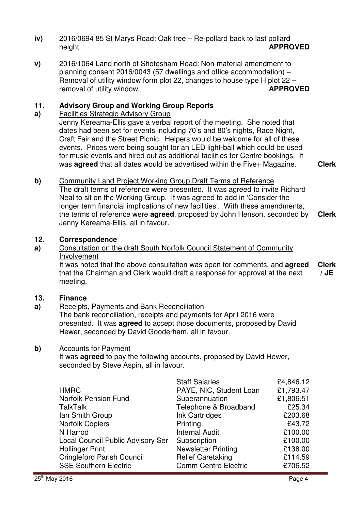- **iv)** 2016/0694 85 St Marys Road: Oak tree – Re-pollard back to last pollard height. **APPROVED**
- **v)**  2016/1064 Land north of Shotesham Road: Non-material amendment to planning consent 2016/0043 (57 dwellings and office accommodation) – Removal of utility window form plot 22, changes to house type H plot 22 – removal of utility window. **APPROVED**

#### **11. Advisory Group and Working Group Reports**

#### **a)**  Facilities Strategic Advisory Group

Jenny Kereama-Ellis gave a verbal report of the meeting. She noted that dates had been set for events including 70's and 80's nights, Race Night, Craft Fair and the Street Picnic. Helpers would be welcome for all of these events. Prices were being sought for an LED light-ball which could be used for music events and hired out as additional facilities for Centre bookings. It was **agreed** that all dates would be advertised within the Five+ Magazine. **Clerk**

**b)** Community Land Project Working Group Draft Terms of Reference The draft terms of reference were presented. It was agreed to invite Richard Neal to sit on the Working Group. It was agreed to add in 'Consider the longer term financial implications of new facilities'. With these amendments, the terms of reference were **agreed**, proposed by John Henson, seconded by Jenny Kereama-Ellis, all in favour. **Clerk**

#### **12. Correspondence**

#### **a)**  Consultation on the draft South Norfolk Council Statement of Community Involvement

It was noted that the above consultation was open for comments, and **agreed** that the Chairman and Clerk would draft a response for approval at the next meeting. **Clerk / JE** 

#### **13. Finance**

#### **a)**  Receipts, Payments and Bank Reconciliation

The bank reconciliation, receipts and payments for April 2016 were presented. It was **agreed** to accept those documents, proposed by David Hewer, seconded by David Gooderham, all in favour.

#### **b)** Accounts for Payment

It was **agreed** to pay the following accounts, proposed by David Hewer, seconded by Steve Aspin, all in favour.

|                                          | <b>Staff Salaries</b>       | £4,846.12 |
|------------------------------------------|-----------------------------|-----------|
| <b>HMRC</b>                              | PAYE, NIC, Student Loan     | £1,793.47 |
| <b>Norfolk Pension Fund</b>              | Superannuation              | £1,806.51 |
| <b>TalkTalk</b>                          | Telephone & Broadband       | £25.34    |
| Ian Smith Group                          | Ink Cartridges              | £203.68   |
| <b>Norfolk Copiers</b>                   | Printing                    | £43.72    |
| N Harrod                                 | <b>Internal Audit</b>       | £100.00   |
| <b>Local Council Public Advisory Ser</b> | Subscription                | £100.00   |
| <b>Hollinger Print</b>                   | <b>Newsletter Printing</b>  | £138.00   |
| <b>Cringleford Parish Council</b>        | <b>Relief Caretaking</b>    | £114.59   |
| <b>SSE Southern Electric</b>             | <b>Comm Centre Electric</b> | £706.52   |
|                                          |                             |           |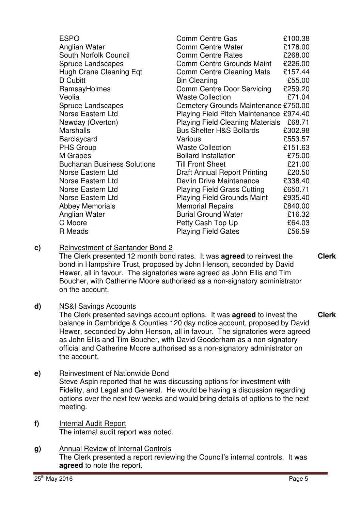| <b>ESPO</b>                        | <b>Comm Centre Gas</b>                  | £100.38 |
|------------------------------------|-----------------------------------------|---------|
| Anglian Water                      | <b>Comm Centre Water</b>                | £178.00 |
| South Norfolk Council              | <b>Comm Centre Rates</b>                | £268.00 |
| <b>Spruce Landscapes</b>           | Comm Centre Grounds Maint               | £226.00 |
| <b>Hugh Crane Cleaning Eqt</b>     | Comm Centre Cleaning Mats               | £157.44 |
| D Cubitt                           | <b>Bin Cleaning</b>                     | £55.00  |
| RamsayHolmes                       | <b>Comm Centre Door Servicing</b>       | £259.20 |
| Veolia                             | <b>Waste Collection</b>                 | £71.04  |
| <b>Spruce Landscapes</b>           | Cemetery Grounds Maintenance £750.00    |         |
| Norse Eastern Ltd                  | Playing Field Pitch Maintenance £974.40 |         |
| Newday (Overton)                   | <b>Playing Field Cleaning Materials</b> | £68.71  |
| <b>Marshalls</b>                   | <b>Bus Shelter H&amp;S Bollards</b>     | £302.98 |
| <b>Barclaycard</b>                 | Various                                 | £553.57 |
| <b>PHS Group</b>                   | <b>Waste Collection</b>                 | £151.63 |
| M Grapes                           | <b>Bollard Installation</b>             | £75.00  |
| <b>Buchanan Business Solutions</b> | <b>Till Front Sheet</b>                 | £21.00  |
| Norse Eastern Ltd                  | <b>Draft Annual Report Printing</b>     | £20.50  |
| Norse Eastern Ltd                  | Devlin Drive Maintenance                | £338.40 |
| Norse Eastern Ltd                  | <b>Playing Field Grass Cutting</b>      | £650.71 |
| Norse Eastern Ltd                  | <b>Playing Field Grounds Maint</b>      | £935.40 |
| <b>Abbey Memorials</b>             | <b>Memorial Repairs</b>                 | £840.00 |
| Anglian Water                      | <b>Burial Ground Water</b>              | £16.32  |
| C Moore                            | Petty Cash Top Up                       | £64.03  |
| R Meads                            | <b>Playing Field Gates</b>              | £56.59  |

**c)** Reinvestment of Santander Bond 2

The Clerk presented 12 month bond rates. It was **agreed** to reinvest the bond in Hampshire Trust, proposed by John Henson, seconded by David Hewer, all in favour. The signatories were agreed as John Ellis and Tim Boucher, with Catherine Moore authorised as a non-signatory administrator on the account.

**d)** NS&I Savings Accounts

The Clerk presented savings account options. It was **agreed** to invest the balance in Cambridge & Counties 120 day notice account, proposed by David Hewer, seconded by John Henson, all in favour. The signatories were agreed as John Ellis and Tim Boucher, with David Gooderham as a non-signatory official and Catherine Moore authorised as a non-signatory administrator on the account. **Clerk**

**e)** Reinvestment of Nationwide Bond

Steve Aspin reported that he was discussing options for investment with Fidelity, and Legal and General. He would be having a discussion regarding options over the next few weeks and would bring details of options to the next meeting.

- **f)** Internal Audit Report The internal audit report was noted.
- **g)** Annual Review of Internal Controls The Clerk presented a report reviewing the Council's internal controls. It was **agreed** to note the report.

**Clerk**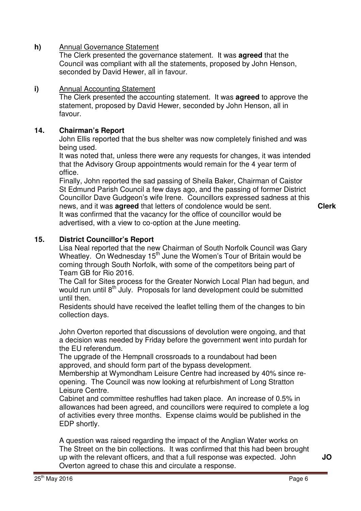#### **h)** Annual Governance Statement

The Clerk presented the governance statement. It was **agreed** that the Council was compliant with all the statements, proposed by John Henson, seconded by David Hewer, all in favour.

#### **i)** Annual Accounting Statement

The Clerk presented the accounting statement. It was **agreed** to approve the statement, proposed by David Hewer, seconded by John Henson, all in favour.

#### **14. Chairman's Report**

John Ellis reported that the bus shelter was now completely finished and was being used.

It was noted that, unless there were any requests for changes, it was intended that the Advisory Group appointments would remain for the 4 year term of office.

Finally, John reported the sad passing of Sheila Baker, Chairman of Caistor St Edmund Parish Council a few days ago, and the passing of former District Councillor Dave Gudgeon's wife Irene. Councillors expressed sadness at this news, and it was **agreed** that letters of condolence would be sent. It was confirmed that the vacancy for the office of councillor would be advertised, with a view to co-option at the June meeting. **Clerk**

## **15. District Councillor's Report**

Lisa Neal reported that the new Chairman of South Norfolk Council was Gary Wheatley. On Wednesday  $15<sup>th</sup>$  June the Women's Tour of Britain would be coming through South Norfolk, with some of the competitors being part of Team GB for Rio 2016.

The Call for Sites process for the Greater Norwich Local Plan had begun, and would run until  $8<sup>th</sup>$  July. Proposals for land development could be submitted until then.

Residents should have received the leaflet telling them of the changes to bin collection days.

John Overton reported that discussions of devolution were ongoing, and that a decision was needed by Friday before the government went into purdah for the EU referendum.

The upgrade of the Hempnall crossroads to a roundabout had been approved, and should form part of the bypass development.

Membership at Wymondham Leisure Centre had increased by 40% since reopening. The Council was now looking at refurbishment of Long Stratton Leisure Centre.

Cabinet and committee reshuffles had taken place. An increase of 0.5% in allowances had been agreed, and councillors were required to complete a log of activities every three months. Expense claims would be published in the EDP shortly.

A question was raised regarding the impact of the Anglian Water works on The Street on the bin collections. It was confirmed that this had been brought up with the relevant officers, and that a full response was expected. John Overton agreed to chase this and circulate a response.

**JO**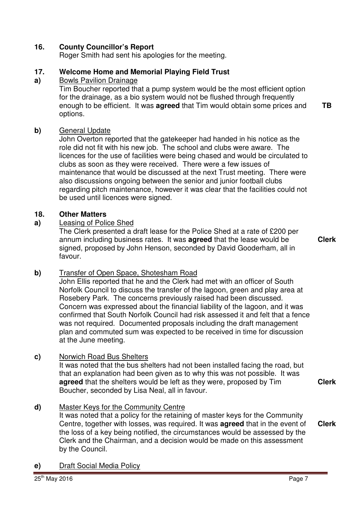## **16. County Councillor's Report**

Roger Smith had sent his apologies for the meeting.

#### **17. Welcome Home and Memorial Playing Field Trust**

#### **a)**  Bowls Pavilion Drainage

Tim Boucher reported that a pump system would be the most efficient option for the drainage, as a bio system would not be flushed through frequently enough to be efficient. It was **agreed** that Tim would obtain some prices and options.

#### **b)** General Update

John Overton reported that the gatekeeper had handed in his notice as the role did not fit with his new job. The school and clubs were aware. The licences for the use of facilities were being chased and would be circulated to clubs as soon as they were received. There were a few issues of maintenance that would be discussed at the next Trust meeting. There were also discussions ongoing between the senior and junior football clubs regarding pitch maintenance, however it was clear that the facilities could not be used until licences were signed.

#### **18. Other Matters**

#### **a)** Leasing of Police Shed

The Clerk presented a draft lease for the Police Shed at a rate of £200 per annum including business rates. It was **agreed** that the lease would be signed, proposed by John Henson, seconded by David Gooderham, all in favour.

**Clerk**

**Clerk**

**TB** 

## **b)** Transfer of Open Space, Shotesham Road

John Ellis reported that he and the Clerk had met with an officer of South Norfolk Council to discuss the transfer of the lagoon, green and play area at Rosebery Park. The concerns previously raised had been discussed. Concern was expressed about the financial liability of the lagoon, and it was confirmed that South Norfolk Council had risk assessed it and felt that a fence was not required. Documented proposals including the draft management plan and commuted sum was expected to be received in time for discussion at the June meeting.

## **c)** Norwich Road Bus Shelters

It was noted that the bus shelters had not been installed facing the road, but that an explanation had been given as to why this was not possible. It was **agreed** that the shelters would be left as they were, proposed by Tim Boucher, seconded by Lisa Neal, all in favour.

## **d)** Master Keys for the Community Centre

It was noted that a policy for the retaining of master keys for the Community Centre, together with losses, was required. It was **agreed** that in the event of the loss of a key being notified, the circumstances would be assessed by the Clerk and the Chairman, and a decision would be made on this assessment by the Council. **Clerk**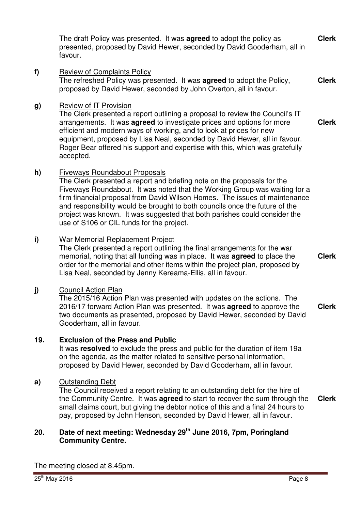The draft Policy was presented. It was **agreed** to adopt the policy as presented, proposed by David Hewer, seconded by David Gooderham, all in favour. **Clerk**

**f)** Review of Complaints Policy The refreshed Policy was presented. It was **agreed** to adopt the Policy, proposed by David Hewer, seconded by John Overton, all in favour. **Clerk**

## **g)** Review of IT Provision

The Clerk presented a report outlining a proposal to review the Council's IT arrangements. It was **agreed** to investigate prices and options for more efficient and modern ways of working, and to look at prices for new equipment, proposed by Lisa Neal, seconded by David Hewer, all in favour. Roger Bear offered his support and expertise with this, which was gratefully accepted. **Clerk**

## **h)** Fiveways Roundabout Proposals

The Clerk presented a report and briefing note on the proposals for the Fiveways Roundabout. It was noted that the Working Group was waiting for a firm financial proposal from David Wilson Homes. The issues of maintenance and responsibility would be brought to both councils once the future of the project was known. It was suggested that both parishes could consider the use of S106 or CIL funds for the project.

## **i)** War Memorial Replacement Project

The Clerk presented a report outlining the final arrangements for the war memorial, noting that all funding was in place. It was **agreed** to place the order for the memorial and other items within the project plan, proposed by Lisa Neal, seconded by Jenny Kereama-Ellis, all in favour.

## **j)** Council Action Plan

The 2015/16 Action Plan was presented with updates on the actions. The 2016/17 forward Action Plan was presented. It was **agreed** to approve the two documents as presented, proposed by David Hewer, seconded by David Gooderham, all in favour. **Clerk**

## **19. Exclusion of the Press and Public**

It was **resolved** to exclude the press and public for the duration of item 19a on the agenda, as the matter related to sensitive personal information, proposed by David Hewer, seconded by David Gooderham, all in favour.

#### **a)** Outstanding Debt

The Council received a report relating to an outstanding debt for the hire of the Community Centre. It was **agreed** to start to recover the sum through the small claims court, but giving the debtor notice of this and a final 24 hours to pay, proposed by John Henson, seconded by David Hewer, all in favour. **Clerk**

## **20. Date of next meeting: Wednesday 29 th June 2016, 7pm, Poringland Community Centre.**

The meeting closed at 8.45pm.

**Clerk**